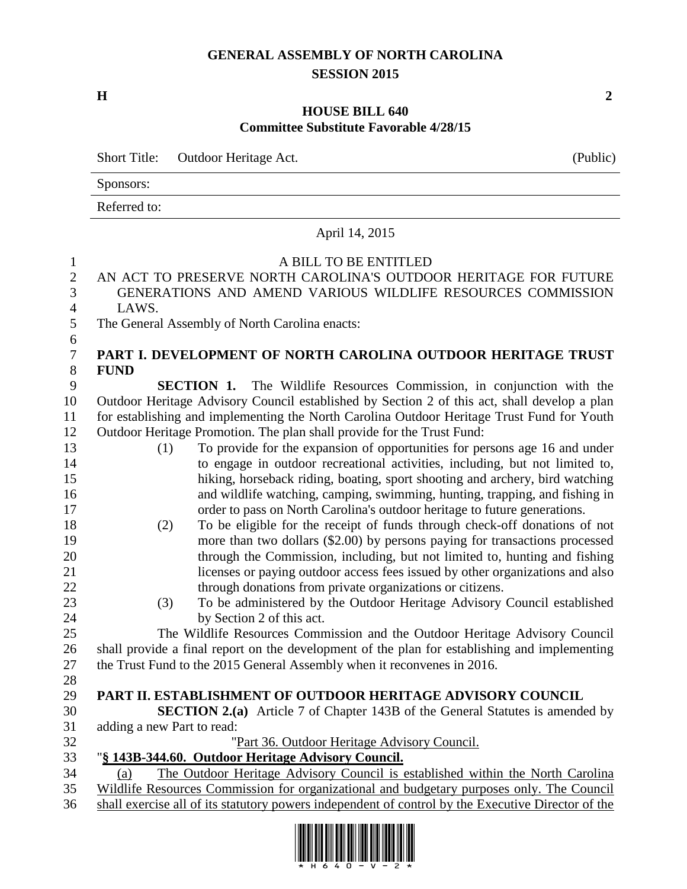## **GENERAL ASSEMBLY OF NORTH CAROLINA SESSION 2015**

**H 2**

## **HOUSE BILL 640 Committee Substitute Favorable 4/28/15**

|                                                                                                                    | <b>Short Title:</b><br>Outdoor Heritage Act.<br>(Public)                                                                                                                                                                                                                                                                                                                                                                                                                                                                                                                                                                                                                                                                                                                                                                                                                                                                                                                                                                                                                                                                                                                                                                                                                                                                                                                                                                                                                                                                                                       |  |  |  |
|--------------------------------------------------------------------------------------------------------------------|----------------------------------------------------------------------------------------------------------------------------------------------------------------------------------------------------------------------------------------------------------------------------------------------------------------------------------------------------------------------------------------------------------------------------------------------------------------------------------------------------------------------------------------------------------------------------------------------------------------------------------------------------------------------------------------------------------------------------------------------------------------------------------------------------------------------------------------------------------------------------------------------------------------------------------------------------------------------------------------------------------------------------------------------------------------------------------------------------------------------------------------------------------------------------------------------------------------------------------------------------------------------------------------------------------------------------------------------------------------------------------------------------------------------------------------------------------------------------------------------------------------------------------------------------------------|--|--|--|
|                                                                                                                    | Sponsors:                                                                                                                                                                                                                                                                                                                                                                                                                                                                                                                                                                                                                                                                                                                                                                                                                                                                                                                                                                                                                                                                                                                                                                                                                                                                                                                                                                                                                                                                                                                                                      |  |  |  |
|                                                                                                                    | Referred to:                                                                                                                                                                                                                                                                                                                                                                                                                                                                                                                                                                                                                                                                                                                                                                                                                                                                                                                                                                                                                                                                                                                                                                                                                                                                                                                                                                                                                                                                                                                                                   |  |  |  |
|                                                                                                                    | April 14, 2015                                                                                                                                                                                                                                                                                                                                                                                                                                                                                                                                                                                                                                                                                                                                                                                                                                                                                                                                                                                                                                                                                                                                                                                                                                                                                                                                                                                                                                                                                                                                                 |  |  |  |
| 1<br>$\overline{2}$<br>3<br>4<br>5                                                                                 | A BILL TO BE ENTITLED<br>AN ACT TO PRESERVE NORTH CAROLINA'S OUTDOOR HERITAGE FOR FUTURE<br>GENERATIONS AND AMEND VARIOUS WILDLIFE RESOURCES COMMISSION<br>LAWS.<br>The General Assembly of North Carolina enacts:                                                                                                                                                                                                                                                                                                                                                                                                                                                                                                                                                                                                                                                                                                                                                                                                                                                                                                                                                                                                                                                                                                                                                                                                                                                                                                                                             |  |  |  |
| 6<br>7                                                                                                             | PART I. DEVELOPMENT OF NORTH CAROLINA OUTDOOR HERITAGE TRUST                                                                                                                                                                                                                                                                                                                                                                                                                                                                                                                                                                                                                                                                                                                                                                                                                                                                                                                                                                                                                                                                                                                                                                                                                                                                                                                                                                                                                                                                                                   |  |  |  |
| 8<br>9<br>10<br>11<br>12<br>13<br>14<br>15<br>16<br>17<br>18<br>19<br>20<br>21<br>22<br>23<br>24<br>25<br>26<br>27 | <b>FUND</b><br><b>SECTION 1.</b> The Wildlife Resources Commission, in conjunction with the<br>Outdoor Heritage Advisory Council established by Section 2 of this act, shall develop a plan<br>for establishing and implementing the North Carolina Outdoor Heritage Trust Fund for Youth<br>Outdoor Heritage Promotion. The plan shall provide for the Trust Fund:<br>To provide for the expansion of opportunities for persons age 16 and under<br>(1)<br>to engage in outdoor recreational activities, including, but not limited to,<br>hiking, horseback riding, boating, sport shooting and archery, bird watching<br>and wildlife watching, camping, swimming, hunting, trapping, and fishing in<br>order to pass on North Carolina's outdoor heritage to future generations.<br>To be eligible for the receipt of funds through check-off donations of not<br>(2)<br>more than two dollars (\$2.00) by persons paying for transactions processed<br>through the Commission, including, but not limited to, hunting and fishing<br>licenses or paying outdoor access fees issued by other organizations and also<br>through donations from private organizations or citizens.<br>To be administered by the Outdoor Heritage Advisory Council established<br>(3)<br>by Section 2 of this act.<br>The Wildlife Resources Commission and the Outdoor Heritage Advisory Council<br>shall provide a final report on the development of the plan for establishing and implementing<br>the Trust Fund to the 2015 General Assembly when it reconvenes in 2016. |  |  |  |
| 28                                                                                                                 |                                                                                                                                                                                                                                                                                                                                                                                                                                                                                                                                                                                                                                                                                                                                                                                                                                                                                                                                                                                                                                                                                                                                                                                                                                                                                                                                                                                                                                                                                                                                                                |  |  |  |
| 29<br>30<br>31<br>32                                                                                               | PART II. ESTABLISHMENT OF OUTDOOR HERITAGE ADVISORY COUNCIL<br><b>SECTION 2.(a)</b> Article 7 of Chapter 143B of the General Statutes is amended by<br>adding a new Part to read:<br>"Part 36. Outdoor Heritage Advisory Council.                                                                                                                                                                                                                                                                                                                                                                                                                                                                                                                                                                                                                                                                                                                                                                                                                                                                                                                                                                                                                                                                                                                                                                                                                                                                                                                              |  |  |  |
| 33                                                                                                                 | "§ 143B-344.60. Outdoor Heritage Advisory Council.                                                                                                                                                                                                                                                                                                                                                                                                                                                                                                                                                                                                                                                                                                                                                                                                                                                                                                                                                                                                                                                                                                                                                                                                                                                                                                                                                                                                                                                                                                             |  |  |  |
| 34                                                                                                                 | The Outdoor Heritage Advisory Council is established within the North Carolina<br>(a)                                                                                                                                                                                                                                                                                                                                                                                                                                                                                                                                                                                                                                                                                                                                                                                                                                                                                                                                                                                                                                                                                                                                                                                                                                                                                                                                                                                                                                                                          |  |  |  |
| 35                                                                                                                 | Wildlife Resources Commission for organizational and budgetary purposes only. The Council                                                                                                                                                                                                                                                                                                                                                                                                                                                                                                                                                                                                                                                                                                                                                                                                                                                                                                                                                                                                                                                                                                                                                                                                                                                                                                                                                                                                                                                                      |  |  |  |
| 36                                                                                                                 | shall exercise all of its statutory powers independent of control by the Executive Director of the                                                                                                                                                                                                                                                                                                                                                                                                                                                                                                                                                                                                                                                                                                                                                                                                                                                                                                                                                                                                                                                                                                                                                                                                                                                                                                                                                                                                                                                             |  |  |  |

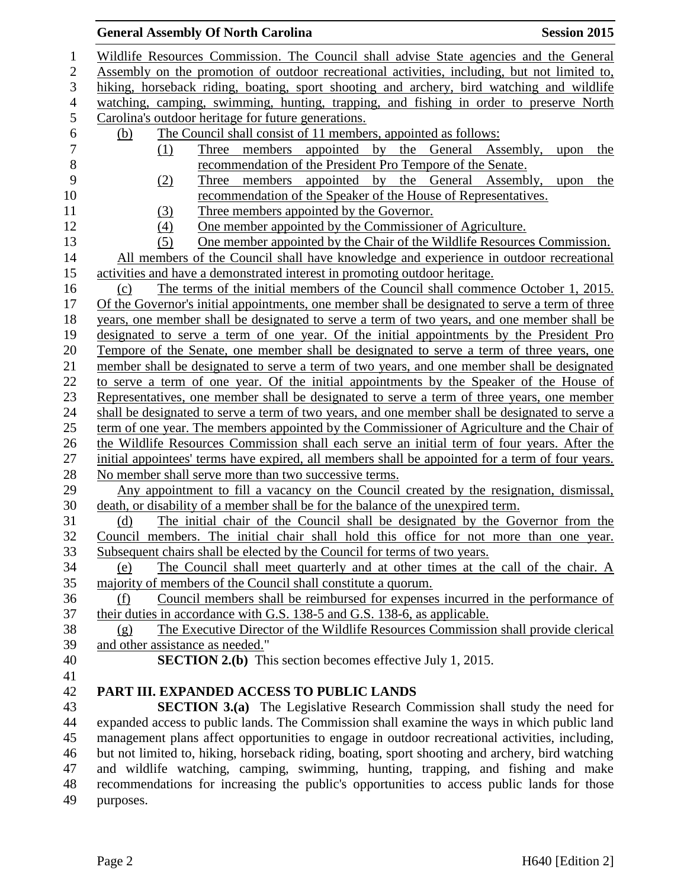## Wildlife Resources Commission. The Council shall advise State agencies and the General Assembly on the promotion of outdoor recreational activities, including, but not limited to, hiking, horseback riding, boating, sport shooting and archery, bird watching and wildlife watching, camping, swimming, hunting, trapping, and fishing in order to preserve North Carolina's outdoor heritage for future generations. 6 (b) The Council shall consist of 11 members, appointed as follows:<br>
(1) Three members appointed by the General Ass (1) Three members appointed by the General Assembly, upon the recommendation of the President Pro Tempore of the Senate. (2) Three members appointed by the General Assembly, upon the recommendation of the Speaker of the House of Representatives. 11 (3) Three members appointed by the Governor. (4) One member appointed by the Commissioner of Agriculture. (5) One member appointed by the Chair of the Wildlife Resources Commission. All members of the Council shall have knowledge and experience in outdoor recreational activities and have a demonstrated interest in promoting outdoor heritage. (c) The terms of the initial members of the Council shall commence October 1, 2015. Of the Governor's initial appointments, one member shall be designated to serve a term of three years, one member shall be designated to serve a term of two years, and one member shall be designated to serve a term of one year. Of the initial appointments by the President Pro Tempore of the Senate, one member shall be designated to serve a term of three years, one member shall be designated to serve a term of two years, and one member shall be designated to serve a term of one year. Of the initial appointments by the Speaker of the House of Representatives, one member shall be designated to serve a term of three years, one member shall be designated to serve a term of two years, and one member shall be designated to serve a term of one year. The members appointed by the Commissioner of Agriculture and the Chair of the Wildlife Resources Commission shall each serve an initial term of four years. After the 27 initial appointees' terms have expired, all members shall be appointed for a term of four years. 28 No member shall serve more than two successive terms. Any appointment to fill a vacancy on the Council created by the resignation, dismissal, death, or disability of a member shall be for the balance of the unexpired term. (d) The initial chair of the Council shall be designated by the Governor from the Council members. The initial chair shall hold this office for not more than one year. Subsequent chairs shall be elected by the Council for terms of two years. (e) The Council shall meet quarterly and at other times at the call of the chair. A majority of members of the Council shall constitute a quorum. (f) Council members shall be reimbursed for expenses incurred in the performance of their duties in accordance with G.S. 138-5 and G.S. 138-6, as applicable. (g) The Executive Director of the Wildlife Resources Commission shall provide clerical and other assistance as needed." **SECTION 2.(b)** This section becomes effective July 1, 2015. **PART III. EXPANDED ACCESS TO PUBLIC LANDS SECTION 3.(a)** The Legislative Research Commission shall study the need for expanded access to public lands. The Commission shall examine the ways in which public land management plans affect opportunities to engage in outdoor recreational activities, including, but not limited to, hiking, horseback riding, boating, sport shooting and archery, bird watching and wildlife watching, camping, swimming, hunting, trapping, and fishing and make recommendations for increasing the public's opportunities to access public lands for those

**General Assembly Of North Carolina Session 2015** 

purposes.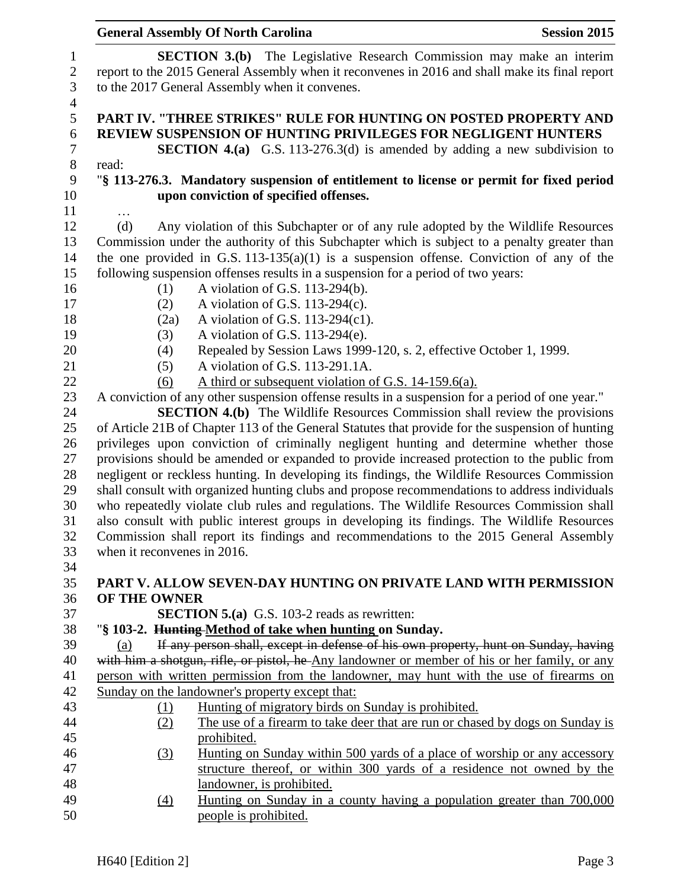|                  |                             | <b>General Assembly Of North Carolina</b>                                                              | <b>Session 2015</b> |
|------------------|-----------------------------|--------------------------------------------------------------------------------------------------------|---------------------|
| 1                |                             | <b>SECTION 3.(b)</b> The Legislative Research Commission may make an interim                           |                     |
| $\mathbf{2}$     |                             | report to the 2015 General Assembly when it reconvenes in 2016 and shall make its final report         |                     |
| 3                |                             | to the 2017 General Assembly when it convenes.                                                         |                     |
| $\overline{4}$   |                             |                                                                                                        |                     |
| 5                |                             | PART IV. "THREE STRIKES" RULE FOR HUNTING ON POSTED PROPERTY AND                                       |                     |
| 6                |                             | <b>REVIEW SUSPENSION OF HUNTING PRIVILEGES FOR NEGLIGENT HUNTERS</b>                                   |                     |
| $\boldsymbol{7}$ |                             | <b>SECTION 4.(a)</b> G.S. 113-276.3(d) is amended by adding a new subdivision to                       |                     |
| $8\,$            | read:                       |                                                                                                        |                     |
| 9                |                             | "§ 113-276.3. Mandatory suspension of entitlement to license or permit for fixed period                |                     |
| 10               |                             | upon conviction of specified offenses.                                                                 |                     |
| 11               |                             |                                                                                                        |                     |
| 12               | (d)                         | Any violation of this Subchapter or of any rule adopted by the Wildlife Resources                      |                     |
| 13               |                             | Commission under the authority of this Subchapter which is subject to a penalty greater than           |                     |
| 14               |                             | the one provided in G.S. $113-135(a)(1)$ is a suspension offense. Conviction of any of the             |                     |
| 15               |                             | following suspension offenses results in a suspension for a period of two years:                       |                     |
| 16               | (1)                         | A violation of G.S. 113-294(b).                                                                        |                     |
| 17               | (2)                         | A violation of G.S. $113-294(c)$ .                                                                     |                     |
| 18               | (2a)                        | A violation of G.S. 113-294(c1).                                                                       |                     |
| 19               | (3)                         | A violation of G.S. $113-294(e)$ .                                                                     |                     |
| 20<br>21         | (4)                         | Repealed by Session Laws 1999-120, s. 2, effective October 1, 1999.<br>A violation of G.S. 113-291.1A. |                     |
| 22               | (5)<br>(6)                  | A third or subsequent violation of G.S. 14-159.6(a).                                                   |                     |
| 23               |                             | A conviction of any other suspension offense results in a suspension for a period of one year."        |                     |
| 24               |                             | <b>SECTION 4.(b)</b> The Wildlife Resources Commission shall review the provisions                     |                     |
| 25               |                             | of Article 21B of Chapter 113 of the General Statutes that provide for the suspension of hunting       |                     |
| 26               |                             | privileges upon conviction of criminally negligent hunting and determine whether those                 |                     |
| 27               |                             | provisions should be amended or expanded to provide increased protection to the public from            |                     |
| 28               |                             | negligent or reckless hunting. In developing its findings, the Wildlife Resources Commission           |                     |
| 29               |                             | shall consult with organized hunting clubs and propose recommendations to address individuals          |                     |
| 30               |                             | who repeatedly violate club rules and regulations. The Wildlife Resources Commission shall             |                     |
| 31               |                             | also consult with public interest groups in developing its findings. The Wildlife Resources            |                     |
| 32               |                             | Commission shall report its findings and recommendations to the 2015 General Assembly                  |                     |
| 33               | when it reconvenes in 2016. |                                                                                                        |                     |
| 34               |                             |                                                                                                        |                     |
| 35               |                             | PART V. ALLOW SEVEN-DAY HUNTING ON PRIVATE LAND WITH PERMISSION                                        |                     |
| 36               | OF THE OWNER                |                                                                                                        |                     |
| 37               |                             | <b>SECTION 5.(a)</b> G.S. 103-2 reads as rewritten:                                                    |                     |
| 38               |                             | "§ 103-2. Hunting-Method of take when hunting on Sunday.                                               |                     |
| 39               | (a)                         | If any person shall, except in defense of his own property, hunt on Sunday, having                     |                     |
| 40               |                             | with him a shotgun, rifle, or pistol, he Any landowner or member of his or her family, or any          |                     |
| 41               |                             | person with written permission from the landowner, may hunt with the use of firearms on                |                     |
| 42               |                             | Sunday on the landowner's property except that:                                                        |                     |
| 43               | <u>(1)</u>                  | Hunting of migratory birds on Sunday is prohibited.                                                    |                     |
| 44               | (2)                         | The use of a firearm to take deer that are run or chased by dogs on Sunday is                          |                     |
| 45               |                             | prohibited.                                                                                            |                     |
| 46               | (3)                         | Hunting on Sunday within 500 yards of a place of worship or any accessory                              |                     |
| 47               |                             | structure thereof, or within 300 yards of a residence not owned by the                                 |                     |
| 48               |                             | landowner, is prohibited.                                                                              |                     |
| 49               | $\left(4\right)$            | Hunting on Sunday in a county having a population greater than 700,000                                 |                     |
| 50               |                             | people is prohibited.                                                                                  |                     |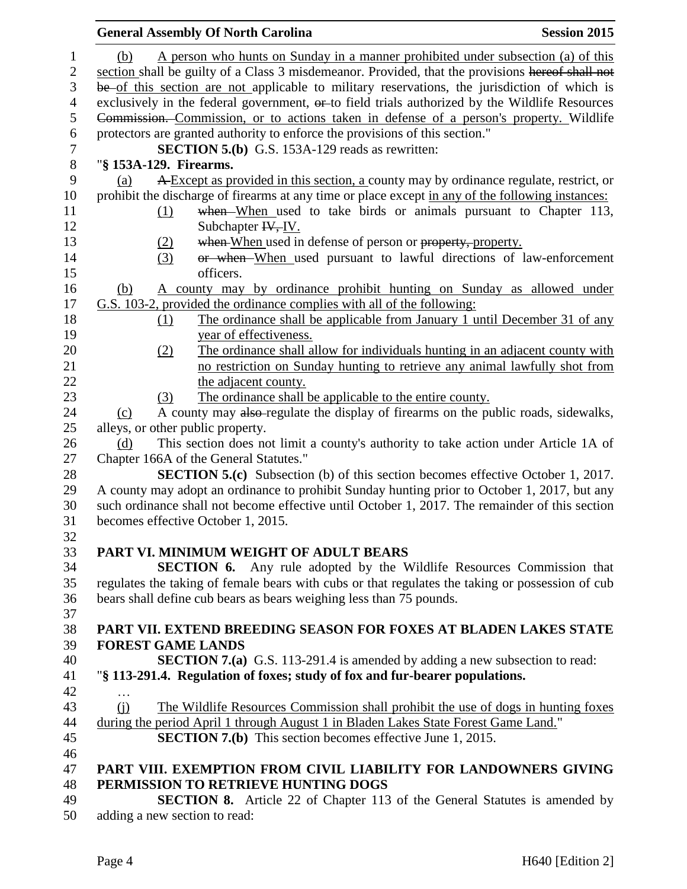|                | <b>General Assembly Of North Carolina</b>                                                                                                                               | <b>Session 2015</b> |
|----------------|-------------------------------------------------------------------------------------------------------------------------------------------------------------------------|---------------------|
| $\mathbf{1}$   | A person who hunts on Sunday in a manner prohibited under subsection (a) of this<br>(b)                                                                                 |                     |
| $\mathbf{2}$   | section shall be guilty of a Class 3 misdemeanor. Provided, that the provisions hereof shall not                                                                        |                     |
| 3              | be of this section are not applicable to military reservations, the jurisdiction of which is                                                                            |                     |
| $\overline{4}$ | exclusively in the federal government, or to field trials authorized by the Wildlife Resources                                                                          |                     |
| 5              |                                                                                                                                                                         |                     |
| 6              | Commission. Commission, or to actions taken in defense of a person's property. Wildlife<br>protectors are granted authority to enforce the provisions of this section." |                     |
| $\tau$         | <b>SECTION 5.(b)</b> G.S. 153A-129 reads as rewritten:                                                                                                                  |                     |
| $8\,$          | "§ 153A-129. Firearms.                                                                                                                                                  |                     |
| 9              | A Except as provided in this section, a county may by ordinance regulate, restrict, or<br>(a)                                                                           |                     |
| 10             | prohibit the discharge of firearms at any time or place except in any of the following instances:                                                                       |                     |
| 11             | when When used to take birds or animals pursuant to Chapter 113,                                                                                                        |                     |
| 12             | (1)<br>Subchapter $H, IV$ .                                                                                                                                             |                     |
| 13             | when When used in defense of person or property, property.                                                                                                              |                     |
| 14             | (2)<br>or when When used pursuant to lawful directions of law-enforcement<br>(3)                                                                                        |                     |
| 15             | officers.                                                                                                                                                               |                     |
| 16             | A county may by ordinance prohibit hunting on Sunday as allowed under                                                                                                   |                     |
| 17             | (b)<br>G.S. 103-2, provided the ordinance complies with all of the following:                                                                                           |                     |
| 18             | The ordinance shall be applicable from January 1 until December 31 of any                                                                                               |                     |
| 19             | (1)<br>year of effectiveness.                                                                                                                                           |                     |
| 20             | The ordinance shall allow for individuals hunting in an adjacent county with<br>(2)                                                                                     |                     |
| 21             | no restriction on Sunday hunting to retrieve any animal lawfully shot from                                                                                              |                     |
| 22             | the adjacent county.                                                                                                                                                    |                     |
| 23             | The ordinance shall be applicable to the entire county.<br>(3)                                                                                                          |                     |
| 24             | A county may also-regulate the display of firearms on the public roads, sidewalks,<br>(c)                                                                               |                     |
| 25             | alleys, or other public property.                                                                                                                                       |                     |
| 26             | This section does not limit a county's authority to take action under Article 1A of<br>(d)                                                                              |                     |
| 27             | Chapter 166A of the General Statutes."                                                                                                                                  |                     |
| 28             | <b>SECTION 5.(c)</b> Subsection (b) of this section becomes effective October 1, 2017.                                                                                  |                     |
| 29             | A county may adopt an ordinance to prohibit Sunday hunting prior to October 1, 2017, but any                                                                            |                     |
| 30             | such ordinance shall not become effective until October 1, 2017. The remainder of this section                                                                          |                     |
| 31             | becomes effective October 1, 2015.                                                                                                                                      |                     |
| 32             |                                                                                                                                                                         |                     |
| 33             | PART VI. MINIMUM WEIGHT OF ADULT BEARS                                                                                                                                  |                     |
| 34             | <b>SECTION 6.</b> Any rule adopted by the Wildlife Resources Commission that                                                                                            |                     |
| 35             | regulates the taking of female bears with cubs or that regulates the taking or possession of cub                                                                        |                     |
| 36             | bears shall define cub bears as bears weighing less than 75 pounds.                                                                                                     |                     |
| 37             |                                                                                                                                                                         |                     |
| 38             | PART VII. EXTEND BREEDING SEASON FOR FOXES AT BLADEN LAKES STATE                                                                                                        |                     |
| 39             | <b>FOREST GAME LANDS</b>                                                                                                                                                |                     |
| 40             | <b>SECTION 7.(a)</b> G.S. 113-291.4 is amended by adding a new subsection to read:                                                                                      |                     |
| 41             | "§ 113-291.4. Regulation of foxes; study of fox and fur-bearer populations.                                                                                             |                     |
| 42             | $\ddotsc$                                                                                                                                                               |                     |
| 43             | The Wildlife Resources Commission shall prohibit the use of dogs in hunting foxes<br>$\Omega$                                                                           |                     |
| 44             | during the period April 1 through August 1 in Bladen Lakes State Forest Game Land."                                                                                     |                     |
| 45             | <b>SECTION 7.(b)</b> This section becomes effective June 1, 2015.                                                                                                       |                     |
| 46             |                                                                                                                                                                         |                     |
| 47             | PART VIII. EXEMPTION FROM CIVIL LIABILITY FOR LANDOWNERS GIVING                                                                                                         |                     |
| 48             | PERMISSION TO RETRIEVE HUNTING DOGS                                                                                                                                     |                     |
| 49             | <b>SECTION 8.</b> Article 22 of Chapter 113 of the General Statutes is amended by                                                                                       |                     |
| 50             | adding a new section to read:                                                                                                                                           |                     |